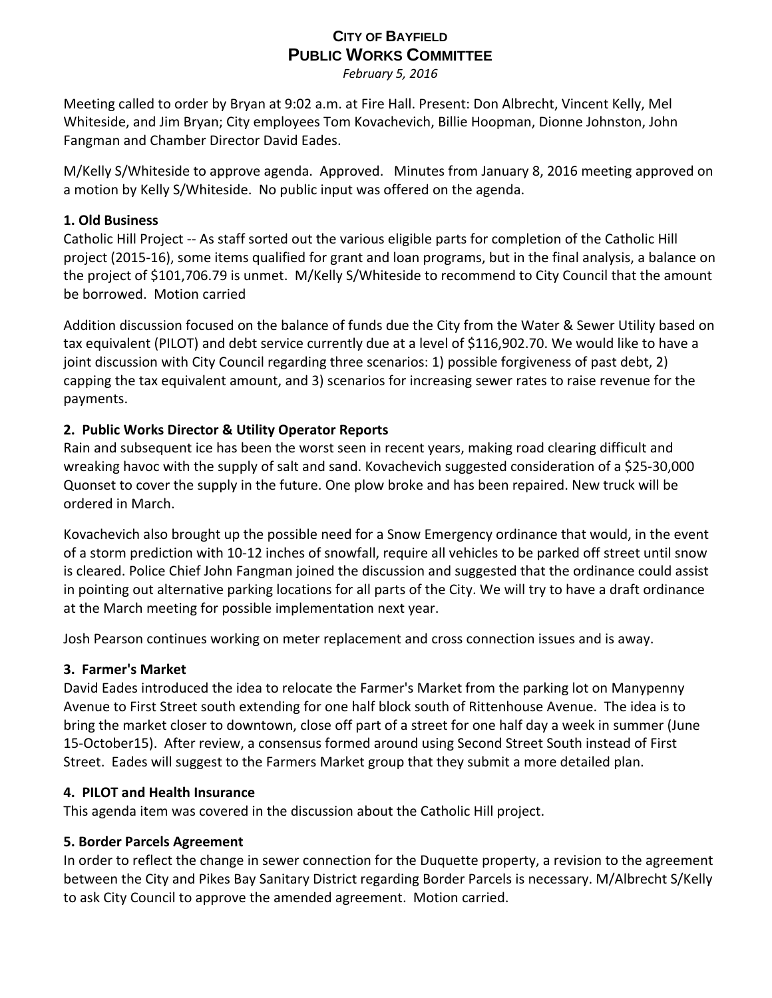# **CITY OF BAYFIELD PUBLIC WORKS COMMITTEE**

*February 5, 2016*

Meeting called to order by Bryan at 9:02 a.m. at Fire Hall. Present: Don Albrecht, Vincent Kelly, Mel Whiteside, and Jim Bryan; City employees Tom Kovachevich, Billie Hoopman, Dionne Johnston, John Fangman and Chamber Director David Eades.

M/Kelly S/Whiteside to approve agenda. Approved. Minutes from January 8, 2016 meeting approved on a motion by Kelly S/Whiteside. No public input was offered on the agenda.

## **1. Old Business**

Catholic Hill Project ‐‐ As staff sorted out the various eligible parts for completion of the Catholic Hill project (2015‐16), some items qualified for grant and loan programs, but in the final analysis, a balance on the project of \$101,706.79 is unmet. M/Kelly S/Whiteside to recommend to City Council that the amount be borrowed. Motion carried

Addition discussion focused on the balance of funds due the City from the Water & Sewer Utility based on tax equivalent (PILOT) and debt service currently due at a level of \$116,902.70. We would like to have a joint discussion with City Council regarding three scenarios: 1) possible forgiveness of past debt, 2) capping the tax equivalent amount, and 3) scenarios for increasing sewer rates to raise revenue for the payments.

## **2. Public Works Director & Utility Operator Reports**

Rain and subsequent ice has been the worst seen in recent years, making road clearing difficult and wreaking havoc with the supply of salt and sand. Kovachevich suggested consideration of a \$25‐30,000 Quonset to cover the supply in the future. One plow broke and has been repaired. New truck will be ordered in March.

Kovachevich also brought up the possible need for a Snow Emergency ordinance that would, in the event of a storm prediction with 10‐12 inches of snowfall, require all vehicles to be parked off street until snow is cleared. Police Chief John Fangman joined the discussion and suggested that the ordinance could assist in pointing out alternative parking locations for all parts of the City. We will try to have a draft ordinance at the March meeting for possible implementation next year.

Josh Pearson continues working on meter replacement and cross connection issues and is away.

## **3. Farmer's Market**

David Eades introduced the idea to relocate the Farmer's Market from the parking lot on Manypenny Avenue to First Street south extending for one half block south of Rittenhouse Avenue. The idea is to bring the market closer to downtown, close off part of a street for one half day a week in summer (June 15‐October15). After review, a consensus formed around using Second Street South instead of First Street. Eades will suggest to the Farmers Market group that they submit a more detailed plan.

## **4. PILOT and Health Insurance**

This agenda item was covered in the discussion about the Catholic Hill project.

## **5. Border Parcels Agreement**

In order to reflect the change in sewer connection for the Duquette property, a revision to the agreement between the City and Pikes Bay Sanitary District regarding Border Parcels is necessary. M/Albrecht S/Kelly to ask City Council to approve the amended agreement. Motion carried.